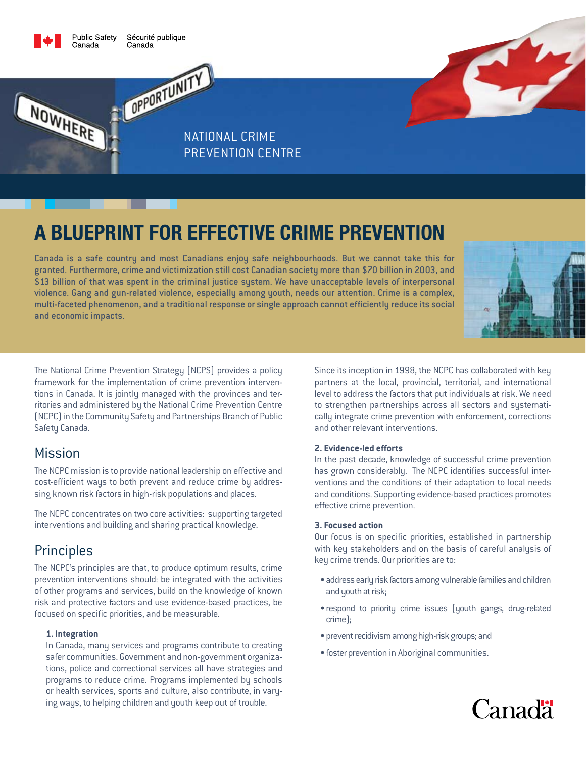

NOWHERE

**Public Safety** Sécurité publique Canada

OPPORTUNITY

National Crime Prevention Centre

# **A blueprint for effective crime prevention**

Canada is a safe country and most Canadians enjoy safe neighbourhoods. But we cannot take this for granted. Furthermore, crime and victimization still cost Canadian society more than \$70 billion in 2003, and \$13 billion of that was spent in the criminal justice system. We have unacceptable levels of interpersonal violence. Gang and gun-related violence, especially among youth, needs our attention. Crime is a complex, multi-faceted phenomenon, and a traditional response or single approach cannot efficiently reduce its social and economic impacts.



The National Crime Prevention Strategy (NCPS) provides a policy framework for the implementation of crime prevention interventions in Canada. It is jointly managed with the provinces and territories and administered by the National Crime Prevention Centre (NCPC) in the Community Safety and Partnerships Branch of Public Safety Canada.

# Mission

The NCPC mission is to provide national leadership on effective and cost-efficient ways to both prevent and reduce crime by addressing known risk factors in high-risk populations and places.

The NCPC concentrates on two core activities: supporting targeted interventions and building and sharing practical knowledge.

# **Principles**

The NCPC's principles are that, to produce optimum results, crime prevention interventions should: be integrated with the activities of other programs and services, build on the knowledge of known risk and protective factors and use evidence-based practices, be focused on specific priorities, and be measurable.

#### **1. Integration**

In Canada, many services and programs contribute to creating safer communities. Government and non-government organizations, police and correctional services all have strategies and programs to reduce crime. Programs implemented by schools or health services, sports and culture, also contribute, in varying ways, to helping children and youth keep out of trouble.

Since its inception in 1998, the NCPC has collaborated with key partners at the local, provincial, territorial, and international level to address the factors that put individuals at risk. We need to strengthen partnerships across all sectors and systematically integrate crime prevention with enforcement, corrections and other relevant interventions.

#### **2. Evidence-led efforts**

In the past decade, knowledge of successful crime prevention has grown considerably. The NCPC identifies successful interventions and the conditions of their adaptation to local needs and conditions. Supporting evidence-based practices promotes effective crime prevention.

#### **3. Focused action**

Our focus is on specific priorities, established in partnership with key stakeholders and on the basis of careful analysis of key crime trends. Our priorities are to:

- address early risk factors among vulnerable families and children and youth at risk;
- respond to priority crime issues (youth gangs, drug-related crime);
- prevent recidivism among high-risk groups; and
- foster prevention in Aboriginal communities.